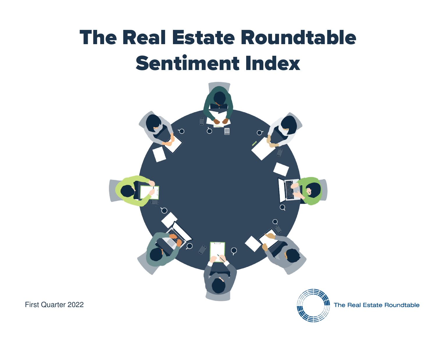# The Real Estate Roundtable Sentiment Index



The Real Estate Roundtable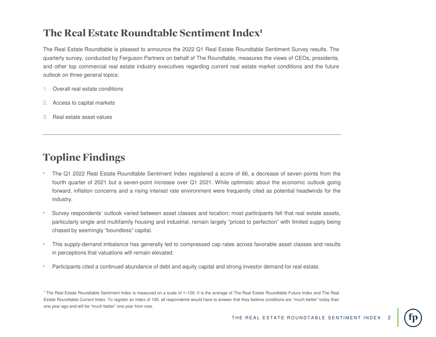## The Real Estate Roundtable Sentiment Index1

The Real Estate Roundtable is pleased to announce the 2022 Q1 Real Estate Roundtable Sentiment Survey results. The quarterly survey, conducted by Ferguson Partners on behalf of The Roundtable, measures the views of CEOs, presidents, and other top commercial real estate industry executives regarding current real estate market conditions and the futureoutlook on three general topics:

- 1. Overall real estate conditions
- 2. Access to capital markets
- 3. Real estate asset values

# Topline Findings

- • The Q1 <sup>2022</sup> Real Estate Roundtable Sentiment Index registered <sup>a</sup> score of 66, <sup>a</sup> decrease of seven points from the fourth quarter of 2021 but <sup>a</sup> seven-point increase over Q1 2021. While optimistic about the economic outlook going forward, inflation concerns and <sup>a</sup> rising interest rate environment were frequently cited as potential headwinds for theindustry.
- • Survey respondents' outlook varied between asset classes and location; most participants felt that real estate assets, particularly single and multifamily housing and industrial, remain largely "priced to perfection" with limited supply beingchased by seemingly "boundless" capital.
- • This supply-demand imbalance has generally led to compressed cap rates across favorable asset classes and resultsin perceptions that valuations will remain elevated.
- •Participants cited <sup>a</sup> continued abundance of debt and equity capital and strong investor demand for real estate.

1 The Real Estate Roundtable Sentiment Index is measured on <sup>a</sup> scale of 1–100. It is the average of The Real Estate Roundtable Future Index and The Real Estate Roundtable Current Index. To register an Index of 100, all respondents would have to answer that they believe conditions are "much better" today thanone year ago and will be "much better" one year from now.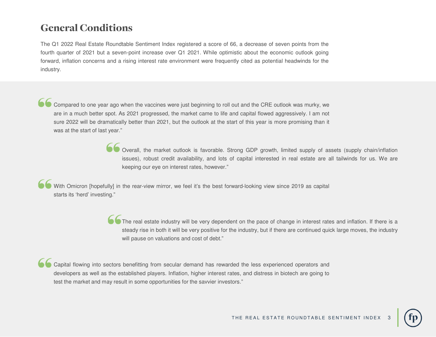## General Conditions

The Q1 2022 Real Estate Roundtable Sentiment Index registered <sup>a</sup> score of 66, <sup>a</sup> decrease of seven points from the fourth quarter of 2021 but <sup>a</sup> seven-point increase over Q1 2021. While optimistic about the economic outlook goingforward, inflation concerns and <sup>a</sup> rising interest rate environment were frequently cited as potential headwinds for theindustry.

Compared to one year ago when the vaccines were just beginning to roll out and the CRE outlook was murky, weare in <sup>a</sup> much better spot. As 2021 progressed, the market came to life and capital flowed aggressively. <sup>I</sup> am not sure 2022 will be dramatically better than 2021, but the outlook at the start of this year is more promising than it was at the start of last year."

> Overall, the market outlook is favorable. Strong GDP growth, limited supply of assets (supply chain/inflation issues), robust credit availability, and lots of capital interested in real estate are all tailwinds for us. We arekeeping our eye on interest rates, however."

With Omicron [hopefully] in the rear-view mirror, we feel it's the best forward-looking view since 2019 as capital starts its 'herd' investing."

> The real estate industry will be very dependent on the pace of change in interest rates and inflation. If there is a steady rise in both it will be very positive for the industry, but if there are continued quick large moves, the industrywill pause on valuations and cost of debt."

Capital flowing into sectors benefitting from secular demand has rewarded the less experienced operators anddevelopers as well as the established players. Inflation, higher interest rates, and distress in biotech are going totest the market and may result in some opportunities for the savvier investors."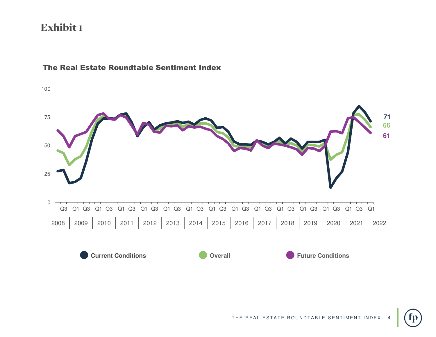

#### The Real Estate Roundtable Sentiment Index

THE REAL ESTATE ROUNDTABLE SENTIMENT INDEX

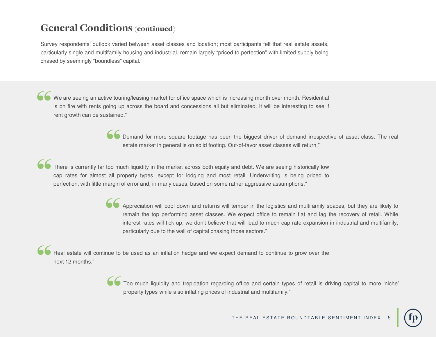## General Conditions (continued)

Survey respondents' outlook varied between asset classes and location; most participants felt that real estate assets, particularly single and multifamily housing and industrial, remain largely "priced to perfection" with limited supply beingchased by seemingly "boundless" capital.

We are seeing an active touring/leasing market for office space which is increasing month over month. Residential is on fire with rents going up across the board and concessions all but eliminated. It will be interesting to see if rent growth can be sustained."

> Demand for more square footage has been the biggest driver of demand irrespective of asset class. The real estate market in general is on solid footing. Out-of-favor asset classes will return."

There is currently far too much liquidity in the market across both equity and debt. We are seeing historically low cap rates for almost all property types, except for lodging and most retail. Underwriting is being priced toperfection, with little margin of error and, in many cases, based on some rather aggressive assumptions."

> Appreciation will cool down and returns will temper in the logistics and multifamily spaces, but they are likely to remain the top performing asset classes. We expect office to remain flat and lag the recovery of retail. While interest rates will tick up, we don't believe that will lead to much cap rate expansion in industrial and multifamily, particularly due to the wall of capital chasing those sectors."

Real estate will continue to be used as an inflation hedge and we expect demand to continue to grow over the next 12 months."

> Too much liquidity and trepidation regarding office and certain types of retail is driving capital to more 'niche' property types while also inflating prices of industrial and multifamily."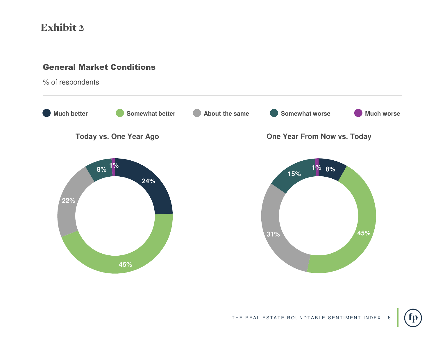#### General Market Conditions

% of respondents



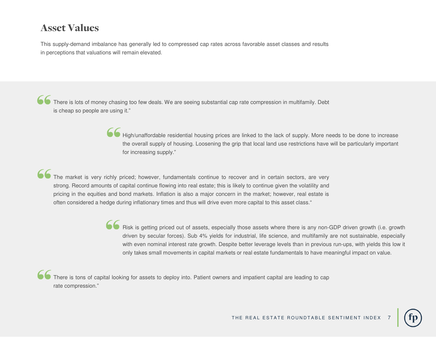## Asset Values

This supply-demand imbalance has generally led to compressed cap rates across favorable asset classes and resultsin perceptions that valuations will remain elevated.

There is lots of money chasing too few deals. We are seeing substantial cap rate compression in multifamily. Debt is cheap so people are using it."

> High/unaffordable residential housing prices are linked to the lack of supply. More needs to be done to increase the overall supply of housing. Loosening the grip that local land use restrictions have will be particularly important for increasing supply."

The market is very richly priced; however, fundamentals continue to recover and in certain sectors, are verystrong. Record amounts of capital continue flowing into real estate; this is likely to continue given the volatility and pricing in the equities and bond markets. Inflation is also <sup>a</sup> major concern in the market; however, real estate is often considered <sup>a</sup> hedge during inflationary times and thus will drive even more capital to this asset class."

> Risk is getting priced out of assets, especially those assets where there is any non-GDP driven growth (i.e. growth driven by secular forces). Sub 4% yields for industrial, life science, and multifamily are not sustainable, especiallywith even nominal interest rate growth. Despite better leverage levels than in previous run-ups, with yields this low it only takes small movements in capital markets or real estate fundamentals to have meaningful impact on value.

There is tons of capital looking for assets to deploy into. Patient owners and impatient capital are leading to caprate compression."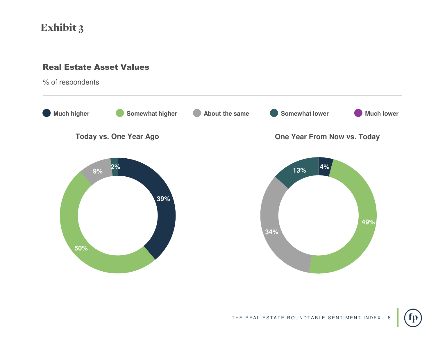#### Real Estate Asset Values

% of respondents

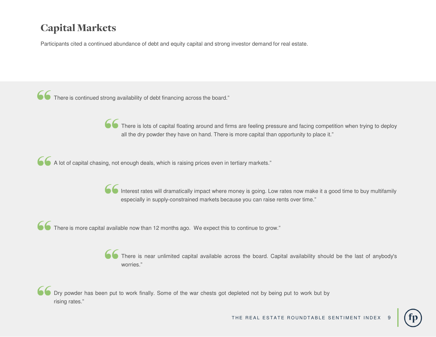# Capital Markets

Participants cited <sup>a</sup> continued abundance of debt and equity capital and strong investor demand for real estate.

There is continued strong availability of debt financing across the board."

There is lots of capital floating around and firms are feeling pressure and facing competition when trying to deploy all the dry powder they have on hand. There is more capital than opportunity to place it."

A lot of capital chasing, not enough deals, which is raising prices even in tertiary markets."

Interest rates will dramatically impact where money is going. Low rates now make it a good time to buy multifamily especially in supply-constrained markets because you can raise rents over time."

**There is more capital available now than 12 months ago. We expect this to continue to grow.**"

There is near unlimited capital available across the board. Capital availability should be the last of anybody's worries."

Dry powder has been put to work finally. Some of the war chests got depleted not by being put to work but by rising rates."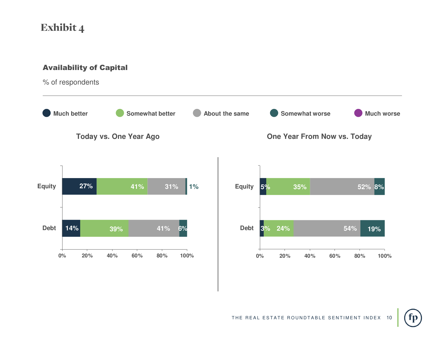#### Availability of Capital

% of respondents



fp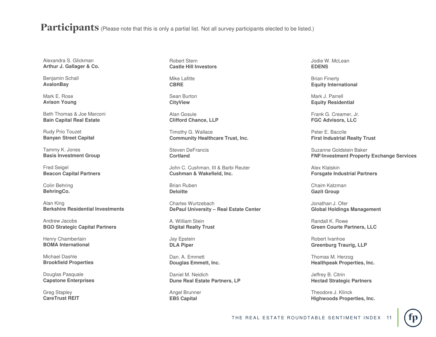Participants (Please note that this is only a partial list. Not all survey participants elected to be listed.)

Alexandra S. Glickman**Arthur J. Gallager & Co.**

Benjamin Schall**AvalonBay**

Mark E. Rose**Avison Young**

Beth Thomas & Joe Marconi**Bain Capital Real Estate**

Rudy Prio Touzet**Banyan Street Capital**

Tammy K. Jones**Basis Investment Group**

Fred Seigel**Beacon Capital Partners**

Colin Behring**BehringCo.**

Alan King**Berkshire Residential Investments**

Andrew Jacobs**BGO Strategic Capital Partners**

Henry Chamberlain**BOMA International**

Michael Dashle**Brookfield Properties**

Douglas Pasquale**Capstone Enterprises**

Greg Stapley**CareTrust REIT** Robert Stern**Castle Hill Investors**

Mike Lafitte**CBRE**

Sean Burton**CityView**

Alan Gosule**Clifford Chance, LLP**

Timothy G. Wallace**Community Healthcare Trust, Inc.**

Steven DeFrancis**Cortland**

John C. Cushman, III & Barbi Reuter**Cushman & Wakefield, Inc.**

Brian Ruben**Deloitte**

Charles Wurtzebach**DePaul University – Real Estate Center**

A. William Stein**Digital Realty Trust**

Jay Epstein**DLA Piper**

Dan. A. Emmett**Douglas Emmett, Inc.**

Daniel M. Neidich**Dune Real Estate Partners, LP**

Angel Brunner**EB5 Capital**

Jodie W. McLean**EDENS**

Brian Finerty**Equity International**

Mark J. Parrell**Equity Residential**

Frank G. Creamer, Jr.**FGC Advisors, LLC**

Peter E. Baccile **First Industrial Realty Trust**

Suzanne Goldstein Baker**FNF/Investment Property Exchange Services**

Alex Klatskin**Forsgate Industrial Partners**

Chaim Katzman**Gazit Group**

Jonathan J. Ofer**Global Holdings Management**

Randall K. Rowe**Green Courte Partners, LLC**

Robert Ivanhoe**Greenburg Traurig, LLP**

Thomas M. Herzog**Healthpeak Properties, Inc.**

Jeffrey B. Citrin**Hectad Strategic Partners**

Theodore J. Klinck**Highwoods Properties, Inc.**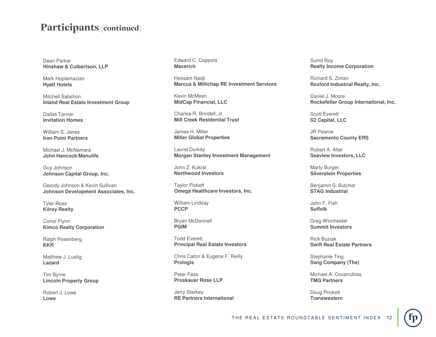### Participants (continued)

Dean Parker**Hinshaw & Culbertson, LLP**

Mark Hoplamazian**Hyatt Hotels**

Mitchell Sabshon**Inland Real Estate Investment Group**

Dallas Tanner**Invitation Homes**

William S. Janes**Iron Point Partners**

Michael J. McNamara**John Hancock/Manulife**

Guy Johnson**Johnson Capital Group, Inc.**

Geordy Johnson & Kevin Sullivan**Johnson Development Associates, Inc.**

Tyler Rose**Kilroy Realty**

Conor Flynn**Kimco Realty Corporation**

Ralph Rosenberg**KKR**

Matthew J. Lustig**Lazard**

Tim Byrne**Lincoln Property Group**

Robert J. Lowe**Lowe**

Edward C. Coppola**Macerich**

Hessam Nadji**Marcus & Millichap RE Investment Services**

Kevin McMeen**MidCap Financial, LLC**

Charles R. Brindell, Jr.**Mill Creek Residential Trust**

James H. Miller**Miller Global Properties**

Laurel Durkay**Morgan Stanley Investment Management**

John Z. Kukral**Northwood Investors**

Taylor Pickett**Omega Healthcare Investors, Inc.**

William Lindsay**PCCP**

Bryan McDonnell**PGIM**

Todd Everett**Principal Real Estate Investors**

Chris Caton & Eugene F. Reilly**Prologis**

Peter Fass**Proskauer Rose LLP**

Jerry Starkey**RE Partners International** Sumit Roy**Realty Income Corporation** 

Richard S. Ziman**Rexford Industrial Realty, Inc.**

Daniel J. Moore**Rockefeller Group International, Inc.**

Scott Everett**S2 Capital, LLC**

JR Pearce**Sacramento County ERS**

Robert A. Alter**Seaview Investors, LLC**

Marty Burger**Silverstein Properties**

Benjamin S. Butcher**STAG Industrial**

John F. Fish**Suffolk**

Greg Winchester**Summit Investors**

Rick Buziak**Swift Real Estate Partners**

Stephanie Ting**Swig Company (The)**

Michael A. Covarrubias**TMG Partners**

Doug Prickett**Transwestern**

THE REAL ESTATE ROUNDTABLE SENTIMENT INDEX

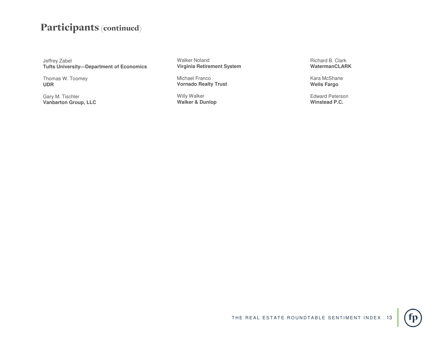## Participants (continued)

Jeffrey Zabel**Tufts University—Department of Economics**

Thomas W. Toomey**UDR**

Gary M. Tischler**Vanbarton Group, LLC** Walker Noland**Virginia Retirement System**

Michael Franco**Vornado Realty Trust**

Willy Walker**Walker & Dunlop** Richard B. Clark**WatermanCLARK**

Kara McShane**Wells Fargo**

Edward Peterson**Winstead P.C.**